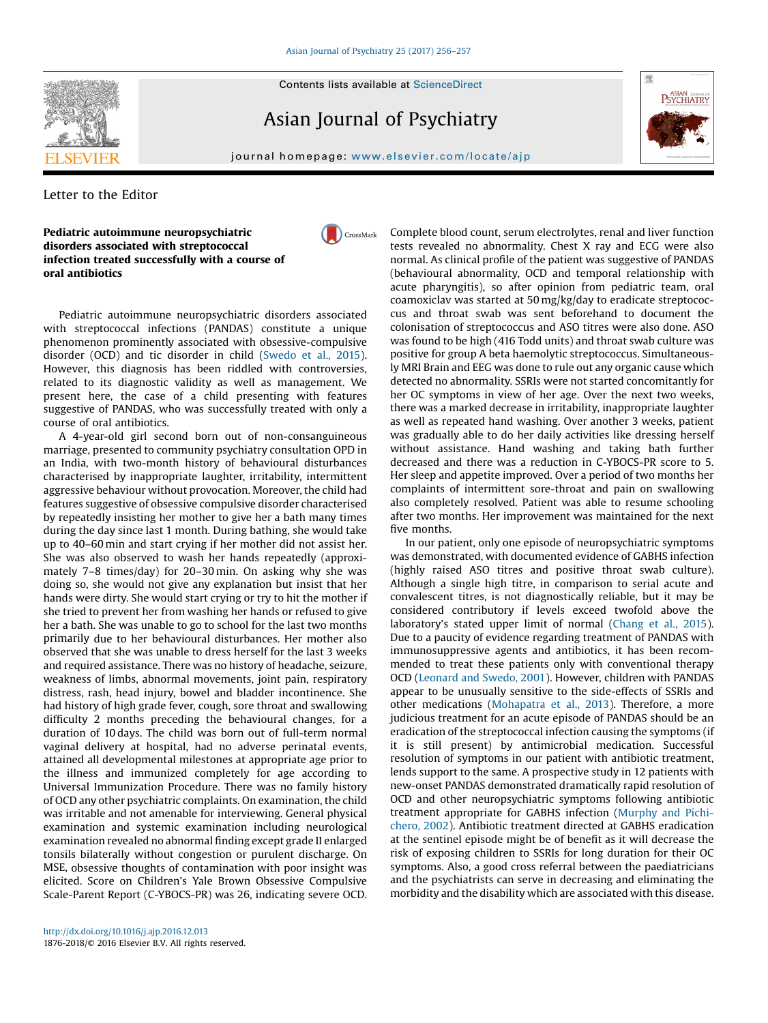# **SEVIER**

Asian Journal of Psychiatry



# journal homepage: where  $\mu$

CrossMark

## Letter to the Editor

#### Pediatric autoimmune neuropsychiatric disorders associated with streptococcal infection treated successfully with a course of oral antibiotics

Pediatric autoimmune neuropsychiatric disorders associated with streptococcal infections (PANDAS) constitute a unique phenomenon prominently associated with obsessive-compulsive disorder (OCD) and tic disorder in child [\(Swedo](#page-1-0) et al., 2015). However, this diagnosis has been riddled with controversies, related to its diagnostic validity as well as management. We present here, the case of a child presenting with features suggestive of PANDAS, who was successfully treated with only a course of oral antibiotics.

A 4-year-old girl second born out of non-consanguineous marriage, presented to community psychiatry consultation OPD in an India, with two-month history of behavioural disturbances characterised by inappropriate laughter, irritability, intermittent aggressive behaviour without provocation. Moreover, the child had features suggestive of obsessive compulsive disorder characterised by repeatedly insisting her mother to give her a bath many times during the day since last 1 month. During bathing, she would take up to 40–60 min and start crying if her mother did not assist her. She was also observed to wash her hands repeatedly (approximately 7–8 times/day) for 20–30 min. On asking why she was doing so, she would not give any explanation but insist that her hands were dirty. She would start crying or try to hit the mother if she tried to prevent her from washing her hands or refused to give her a bath. She was unable to go to school for the last two months primarily due to her behavioural disturbances. Her mother also observed that she was unable to dress herself for the last 3 weeks and required assistance. There was no history of headache, seizure, weakness of limbs, abnormal movements, joint pain, respiratory distress, rash, head injury, bowel and bladder incontinence. She had history of high grade fever, cough, sore throat and swallowing difficulty 2 months preceding the behavioural changes, for a duration of 10 days. The child was born out of full-term normal vaginal delivery at hospital, had no adverse perinatal events, attained all developmental milestones at appropriate age prior to the illness and immunized completely for age according to Universal Immunization Procedure. There was no family history of OCD any other psychiatric complaints. On examination, the child was irritable and not amenable for interviewing. General physical examination and systemic examination including neurological examination revealed no abnormal finding except grade II enlarged tonsils bilaterally without congestion or purulent discharge. On MSE, obsessive thoughts of contamination with poor insight was elicited. Score on Children's Yale Brown Obsessive Compulsive Scale-Parent Report (C-YBOCS-PR) was 26, indicating severe OCD.

Complete blood count, serum electrolytes, renal and liver function tests revealed no abnormality. Chest X ray and ECG were also normal. As clinical profile of the patient was suggestive of PANDAS (behavioural abnormality, OCD and temporal relationship with acute pharyngitis), so after opinion from pediatric team, oral coamoxiclav was started at 50 mg/kg/day to eradicate streptococcus and throat swab was sent beforehand to document the colonisation of streptococcus and ASO titres were also done. ASO was found to be high (416 Todd units) and throat swab culture was positive for group A beta haemolytic streptococcus. Simultaneously MRI Brain and EEG was done to rule out any organic cause which detected no abnormality. SSRIs were not started concomitantly for her OC symptoms in view of her age. Over the next two weeks, there was a marked decrease in irritability, inappropriate laughter as well as repeated hand washing. Over another 3 weeks, patient was gradually able to do her daily activities like dressing herself without assistance. Hand washing and taking bath further decreased and there was a reduction in C-YBOCS-PR score to 5. Her sleep and appetite improved. Over a period of two months her complaints of intermittent sore-throat and pain on swallowing also completely resolved. Patient was able to resume schooling after two months. Her improvement was maintained for the next five months.

In our patient, only one episode of neuropsychiatric symptoms was demonstrated, with documented evidence of GABHS infection (highly raised ASO titres and positive throat swab culture). Although a single high titre, in comparison to serial acute and convalescent titres, is not diagnostically reliable, but it may be considered contributory if levels exceed twofold above the laboratory's stated upper limit of normal [\(Chang](#page-1-0) et al., 2015). Due to a paucity of evidence regarding treatment of PANDAS with immunosuppressive agents and antibiotics, it has been recommended to treat these patients only with conventional therapy OCD ([Leonard](#page-1-0) and Swedo, 2001). However, children with PANDAS appear to be unusually sensitive to the side-effects of SSRIs and other medications ([Mohapatra](#page-1-0) et al., 2013). Therefore, a more judicious treatment for an acute episode of PANDAS should be an eradication of the streptococcal infection causing the symptoms (if it is still present) by antimicrobial medication. Successful resolution of symptoms in our patient with antibiotic treatment, lends support to the same. A prospective study in 12 patients with new-onset PANDAS demonstrated dramatically rapid resolution of OCD and other neuropsychiatric symptoms following antibiotic treatment appropriate for GABHS infection ([Murphy](#page-1-0) and Pichi[chero,](#page-1-0) 2002). Antibiotic treatment directed at GABHS eradication at the sentinel episode might be of benefit as it will decrease the risk of exposing children to SSRIs for long duration for their OC symptoms. Also, a good cross referral between the paediatricians and the psychiatrists can serve in decreasing and eliminating the morbidity and the disability which are associated with this disease.